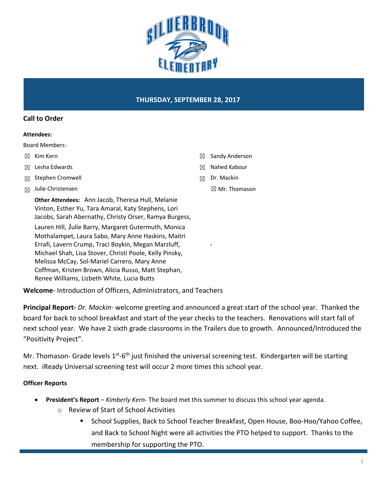

#### **Call to Order**

#### **Attendees:**

Board Members:

- ☒ Kim Kern
- ☒ Lesha Edwards
- ☒ Stephen Cromwell
- $\boxtimes$  Julie Christensen

**Other Attendees:** Ann Jacob, Theresa Hull, Melanie Vinton, Esther Yu, Tara Amaral, Katy Stephens, Lori Jacobs, Sarah Abernathy, Christy Orser, Ramya Burgess, Lauren Hill, Julie Barry, Margaret Gutermuth, Monica Mothalampet, Laura Sabo, Mary Anne Haskins, Maitri Errafi, Lavern Crump, Traci Boykin, Megan Marzluff, Michael Shah, Lisa Stover, Christi Poole, Kelly Pinsky, Melissa McCay, Sol-Mariel Carrero, Mary Anne Coffman, Kristen Brown, Alicia Russo, Matt Stephan, Renee Williams, Lizbeth White, Lucia Butts

- ☒ Sandy Anderson
- ☒ Nahed Kabour
- ☒ Dr. Mackin

,

☒ Mr. Thomason

**Welcome**- Introduction of Officers, Administrators, and Teachers

**Principal Report-** *Dr. Mackin-* welcome greeting and announced a great start of the school year. Thanked the board for back to school breakfast and start of the year checks to the teachers. Renovations will start fall of next school year. We have 2 sixth grade classrooms in the Trailers due to growth. Announced/Introduced the "Positivity Project".

Mr. Thomason- Grade levels 1<sup>st</sup>-6<sup>th</sup> just finished the universal screening test. Kindergarten will be starting next. iReady Universal screening test will occur 2 more times this school year.

### **Officer Reports**

- **President's Report**  *Kimberly Kern-* The board met this summer to discuss this school year agenda.
	- o Review of Start of School Activities
		- § School Supplies, Back to School Teacher Breakfast, Open House, Boo-Hoo/Yahoo Coffee, and Back to School Night were all activities the PTO helped to support. Thanks to the membership for supporting the PTO.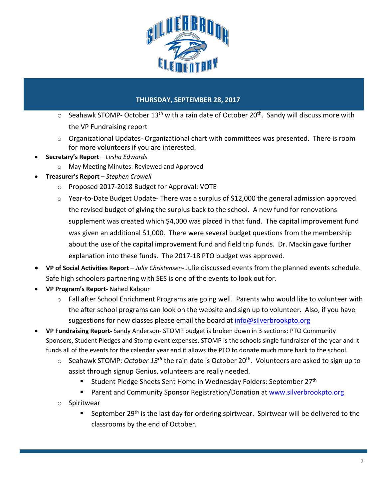

- $\circ$  Seahawk STOMP- October 13<sup>th</sup> with a rain date of October 20<sup>th</sup>. Sandy will discuss more with the VP Fundraising report
- o Organizational Updates- Organizational chart with committees was presented. There is room for more volunteers if you are interested.
- **Secretary's Report**  *Lesha Edwards*
	- o May Meeting Minutes: Reviewed and Approved
- **Treasurer's Report** *Stephen Crowell*
	- o Proposed 2017-2018 Budget for Approval: VOTE
	- $\circ$  Year-to-Date Budget Update-There was a surplus of \$12,000 the general admission approved the revised budget of giving the surplus back to the school. A new fund for renovations supplement was created which \$4,000 was placed in that fund. The capital improvement fund was given an additional \$1,000. There were several budget questions from the membership about the use of the capital improvement fund and field trip funds. Dr. Mackin gave further explanation into these funds. The 2017-18 PTO budget was approved.
- **VP of Social Activities Report** *Julie Christensen-* Julie discussed events from the planned events schedule. Safe high schoolers partnering with SES is one of the events to look out for.
- **VP Program's Report-** Nahed Kabour
	- $\circ$  Fall after School Enrichment Programs are going well. Parents who would like to volunteer with the after school programs can look on the website and sign up to volunteer. Also, if you have suggestions for new classes please email the board at info@silverbrookpto.org
- **VP Fundraising Report-** Sandy Anderson- STOMP budget is broken down in 3 sections: PTO Community Sponsors, Student Pledges and Stomp event expenses. STOMP is the schools single fundraiser of the year and it funds all of the events for the calendar year and it allows the PTO to donate much more back to the school.
	- o Seahawk STOMP: *October 13th* the rain date is October 20th. Volunteers are asked to sign up to assist through signup Genius, volunteers are really needed.
		- § Student Pledge Sheets Sent Home in Wednesday Folders: September 27th
		- Parent and Community Sponsor Registration/Donation at www.silverbrookpto.org
	- o Spiritwear
		- September 29<sup>th</sup> is the last day for ordering spirtwear. Spirtwear will be delivered to the classrooms by the end of October.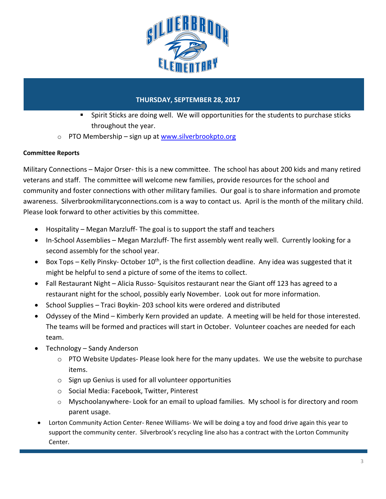

- § Spirit Sticks are doing well. We will opportunities for the students to purchase sticks throughout the year.
- $\circ$  PTO Membership sign up at www.silverbrookpto.org

## **Committee Reports**

Military Connections – Major Orser- this is a new committee. The school has about 200 kids and many retired veterans and staff. The committee will welcome new families, provide resources for the school and community and foster connections with other military families. Our goal is to share information and promote awareness. Silverbrookmilitaryconnections.com is a way to contact us. April is the month of the military child. Please look forward to other activities by this committee.

- Hospitality Megan Marzluff- The goal is to support the staff and teachers
- In-School Assemblies Megan Marzluff- The first assembly went really well. Currently looking for a second assembly for the school year.
- Box Tops Kelly Pinsky-October  $10^{th}$ , is the first collection deadline. Any idea was suggested that it might be helpful to send a picture of some of the items to collect.
- Fall Restaurant Night Alicia Russo-Squisitos restaurant near the Giant off 123 has agreed to a restaurant night for the school, possibly early November. Look out for more information.
- School Supplies Traci Boykin- 203 school kits were ordered and distributed
- Odyssey of the Mind Kimberly Kern provided an update. A meeting will be held for those interested. The teams will be formed and practices will start in October. Volunteer coaches are needed for each team.
- Technology Sandy Anderson
	- $\circ$  PTO Website Updates-Please look here for the many updates. We use the website to purchase items.
	- o Sign up Genius is used for all volunteer opportunities
	- o Social Media: Facebook, Twitter, Pinterest
	- o Myschoolanywhere- Look for an email to upload families. My school is for directory and room parent usage.
- Lorton Community Action Center- Renee Williams- We will be doing a toy and food drive again this year to support the community center. Silverbrook's recycling line also has a contract with the Lorton Community Center.